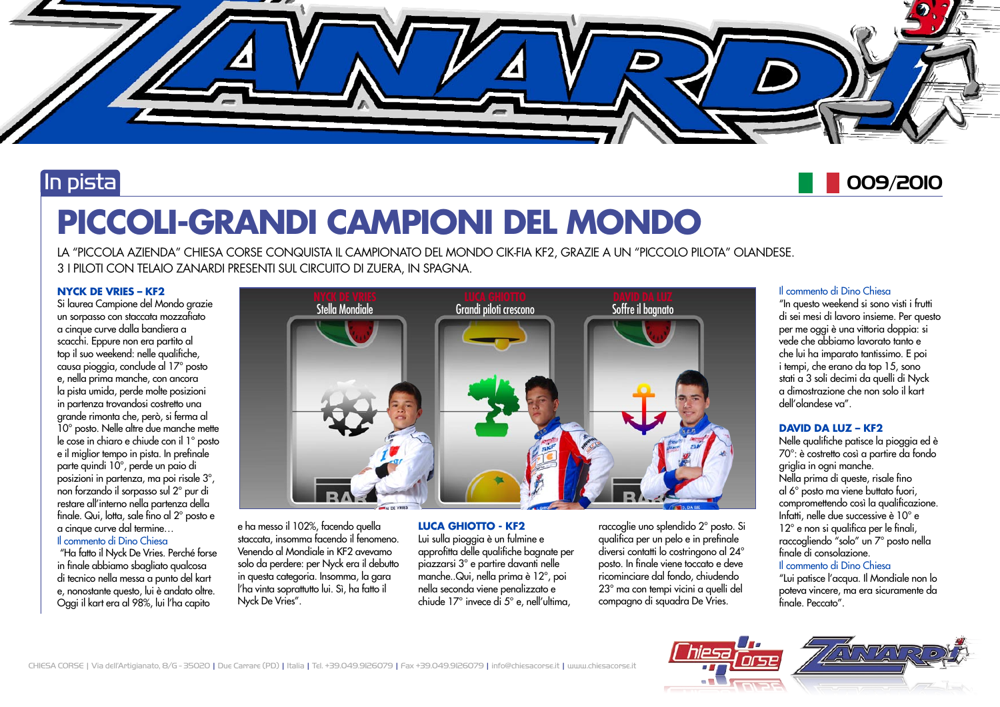

### In pista

## 009/2010

# **PICCOLI-GRANDI CAMPIONI DEL MONDO**

LA "PICCOLA AZIENDA" CHIESA CORSE CONQUISTA IL CAMPIONATO DEL MONDO CIK-FIA KF2, GRAZIE A UN "PICCOLO PILOTA" OLANDESE. 3 I PILOTI CON TELAIO ZANARDI PRESENTI SUL CIRCUITO DI ZUERA, IN SPAGNA.

### **NYCK DE VRIES – KF2**

Si laurea Campione del Mondo grazie un sorpasso con staccata mozzafiato a cinque curve dalla bandiera a scacchi. Eppure non era partito al top il suo weekend: nelle qualifiche, causa pioggia, conclude al 17° posto e, nella prima manche, con ancora la pista umida, perde molte posizioni in partenza trovandosi costretto una grande rimonta che, però, si ferma al 10° posto. Nelle altre due manche mette le cose in chiaro e chiude con il 1° posto e il miglior tempo in pista. In prefinale parte quindi 10°, perde un paio di posizioni in partenza, ma poi risale 3°, non forzando il sorpasso sul 2° pur di restare all'interno nella partenza della finale. Qui, lotta, sale fino al 2° posto e a cinque curve dal termine… Il commento di Dino Chiesa

 "Ha fatto il Nyck De Vries. Perché forse in finale abbiamo sbagliato qualcosa di tecnico nella messa a punto del kart e, nonostante questo, lui è andato oltre. Oggi il kart era al 98%, lui l'ha capito



e ha messo il 102%, facendo quella staccata, insomma facendo il fenomeno. Venendo al Mondiale in KF2 avevamo solo da perdere: per Nyck era il debutto in questa categoria. Insomma, la gara l'ha vinta soprattutto lui. Sì, ha fatto il Nyck De Vries".

**LUCA GHIOTTO - KF2** Lui sulla pioggia è un fulmine e approfitta delle qualifiche bagnate per piazzarsi 3° e partire davanti nelle manche..Qui, nella prima è 12°, poi nella seconda viene penalizzato e chiude 17° invece di 5° e, nell'ultima,

raccoglie uno splendido 2° posto. Si qualifica per un pelo e in prefinale diversi contatti lo costringono al 24° posto. In finale viene toccato e deve ricominciare dal fondo, chiudendo 23° ma con tempi vicini a quelli del compagno di squadra De Vries.

### Il commento di Dino Chiesa

"In questo weekend si sono visti i frutti di sei mesi di lavoro insieme. Per questo per me oggi è una vittoria doppia: si vede che abbiamo lavorato tanto e che lui ha imparato tantissimo. E poi i tempi, che erano da top 15, sono stati a 3 soli decimi da quelli di Nyck a dimostrazione che non solo il kart dell'olandese va".

### **DAVID DA LUZ – KF2**

Nelle qualifiche patisce la pioggia ed è 70°: è costretto così a partire da fondo griglia in ogni manche. Nella prima di queste, risale fino al 6° posto ma viene buttato fuori, compromettendo così la qualificazione. Infatti, nelle due successive è 10° e 12° e non si qualifica per le finali, raccogliendo "solo" un 7° posto nella finale di consolazione.

### Il commento di Dino Chiesa

"Lui patisce l'acqua. Il Mondiale non lo poteva vincere, ma era sicuramente da finale. Peccato".